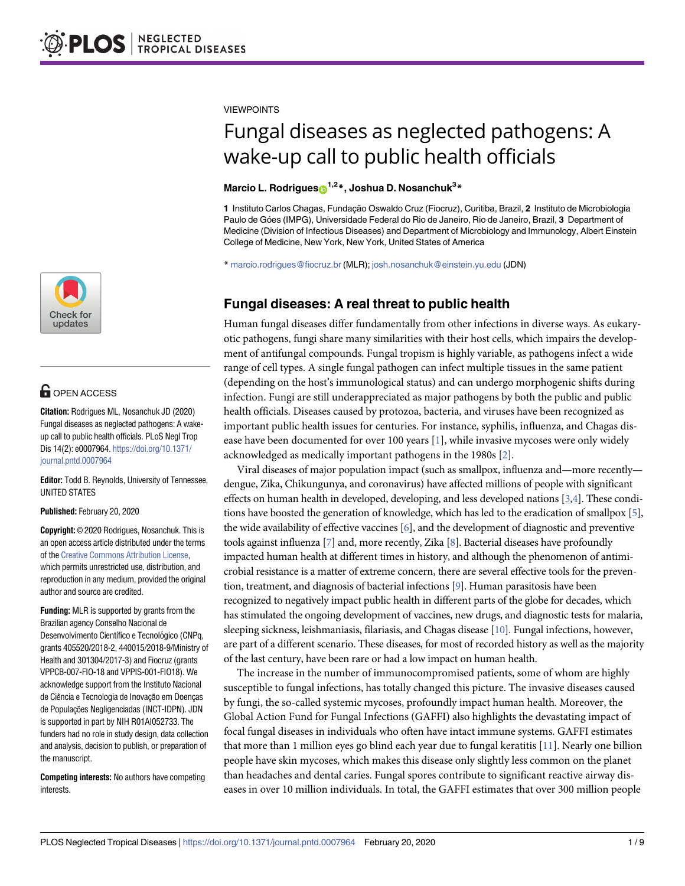

# **OPEN ACCESS**

**Citation:** Rodrigues ML, Nosanchuk JD (2020) Fungal diseases as neglected pathogens: A wakeup call to public health officials. PLoS Negl Trop Dis 14(2): e0007964. [https://doi.org/10.1371/](https://doi.org/10.1371/journal.pntd.0007964) [journal.pntd.0007964](https://doi.org/10.1371/journal.pntd.0007964)

**Editor:** Todd B. Reynolds, University of Tennessee, UNITED STATES

**Published:** February 20, 2020

**Copyright:** © 2020 Rodrigues, Nosanchuk. This is an open access article distributed under the terms of the Creative [Commons](http://creativecommons.org/licenses/by/4.0/) Attribution License, which permits unrestricted use, distribution, and reproduction in any medium, provided the original author and source are credited.

**Funding:** MLR is supported by grants from the Brazilian agency Conselho Nacional de Desenvolvimento Científico e Tecnológico (CNPq, grants 405520/2018-2, 440015/2018-9/Ministry of Health and 301304/2017-3) and Fiocruz (grants VPPCB-007-FIO-18 and VPPIS-001-FIO18). We acknowledge support from the Instituto Nacional de Ciência e Tecnologia de Inovação em Doenças de Populações Negligenciadas (INCT-IDPN). JDN is supported in part by NIH R01AI052733. The funders had no role in study design, data collection and analysis, decision to publish, or preparation of the manuscript.

**Competing interests:** No authors have competing interests.

<span id="page-0-0"></span>VIEWPOINTS

# Fungal diseases as neglected pathogens: A wake-up call to public health officials

#### $M$ arcio L. Rodrigues $\mathbf{S}^{1,2\,*}$ , Joshua D. Nosanchuk $^{3\,*}$

1 Instituto Carlos Chagas, Fundação Oswaldo Cruz (Fiocruz), Curitiba, Brazil, 2 Instituto de Microbiologia Paulo de Góes (IMPG), Universidade Federal do Rio de Janeiro, Rio de Janeiro, Brazil, 3 Department of Medicine (Division of Infectious Diseases) and Department of Microbiology and Immunology, Albert Einstein College of Medicine, New York, New York, United States of America

\* marcio.rodrigues@fiocruz.br (MLR); josh.nosanchuk@einstein.yu.edu (JDN)

# **Fungal diseases: A real threat to public health**

Human fungal diseases differ fundamentally from other infections in diverse ways. As eukaryotic pathogens, fungi share many similarities with their host cells, which impairs the development of antifungal compounds. Fungal tropism is highly variable, as pathogens infect a wide range of cell types. A single fungal pathogen can infect multiple tissues in the same patient (depending on the host's immunological status) and can undergo morphogenic shifts during infection. Fungi are still underappreciated as major pathogens by both the public and public health officials. Diseases caused by protozoa, bacteria, and viruses have been recognized as important public health issues for centuries. For instance, syphilis, influenza, and Chagas disease have been documented for over 100 years [\[1\]](#page-6-0), while invasive mycoses were only widely acknowledged as medically important pathogens in the 1980s [\[2\]](#page-6-0).

Viral diseases of major population impact (such as smallpox, influenza and—more recently dengue, Zika, Chikungunya, and coronavirus) have affected millions of people with significant effects on human health in developed, developing, and less developed nations [\[3,4\]](#page-6-0). These conditions have boosted the generation of knowledge, which has led to the eradication of smallpox [\[5\]](#page-6-0), the wide availability of effective vaccines [\[6\]](#page-7-0), and the development of diagnostic and preventive tools against influenza [[7](#page-7-0)] and, more recently, Zika [\[8](#page-7-0)]. Bacterial diseases have profoundly impacted human health at different times in history, and although the phenomenon of antimicrobial resistance is a matter of extreme concern, there are several effective tools for the prevention, treatment, and diagnosis of bacterial infections [\[9\]](#page-7-0). Human parasitosis have been recognized to negatively impact public health in different parts of the globe for decades, which has stimulated the ongoing development of vaccines, new drugs, and diagnostic tests for malaria, sleeping sickness, leishmaniasis, filariasis, and Chagas disease [\[10](#page-7-0)]. Fungal infections, however, are part of a different scenario. These diseases, for most of recorded history as well as the majority of the last century, have been rare or had a low impact on human health.

The increase in the number of immunocompromised patients, some of whom are highly susceptible to fungal infections, has totally changed this picture. The invasive diseases caused by fungi, the so-called systemic mycoses, profoundly impact human health. Moreover, the Global Action Fund for Fungal Infections (GAFFI) also highlights the devastating impact of focal fungal diseases in individuals who often have intact immune systems. GAFFI estimates that more than 1 million eyes go blind each year due to fungal keratitis [\[11\]](#page-7-0). Nearly one billion people have skin mycoses, which makes this disease only slightly less common on the planet than headaches and dental caries. Fungal spores contribute to significant reactive airway diseases in over 10 million individuals. In total, the GAFFI estimates that over 300 million people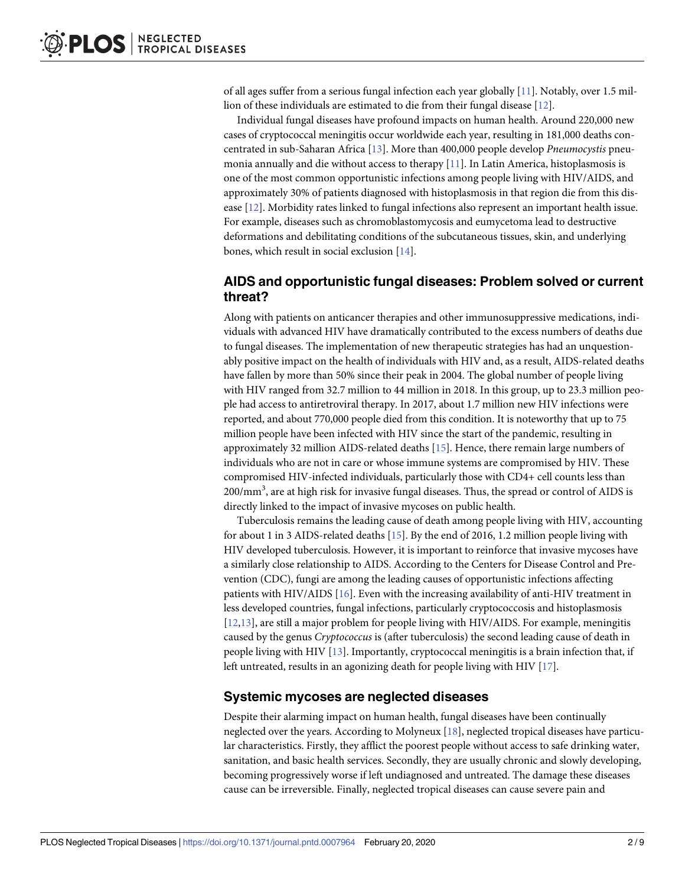<span id="page-1-0"></span>of all ages suffer from a serious fungal infection each year globally [[11](#page-7-0)]. Notably, over 1.5 million of these individuals are estimated to die from their fungal disease [[12](#page-7-0)].

Individual fungal diseases have profound impacts on human health. Around 220,000 new cases of cryptococcal meningitis occur worldwide each year, resulting in 181,000 deaths concentrated in sub-Saharan Africa [\[13\]](#page-7-0). More than 400,000 people develop *Pneumocystis* pneumonia annually and die without access to therapy [\[11\]](#page-7-0). In Latin America, histoplasmosis is one of the most common opportunistic infections among people living with HIV/AIDS, and approximately 30% of patients diagnosed with histoplasmosis in that region die from this disease [\[12\]](#page-7-0). Morbidity rates linked to fungal infections also represent an important health issue. For example, diseases such as chromoblastomycosis and eumycetoma lead to destructive deformations and debilitating conditions of the subcutaneous tissues, skin, and underlying bones, which result in social exclusion [\[14\]](#page-7-0).

## **AIDS and opportunistic fungal diseases: Problem solved or current threat?**

Along with patients on anticancer therapies and other immunosuppressive medications, individuals with advanced HIV have dramatically contributed to the excess numbers of deaths due to fungal diseases. The implementation of new therapeutic strategies has had an unquestionably positive impact on the health of individuals with HIV and, as a result, AIDS-related deaths have fallen by more than 50% since their peak in 2004. The global number of people living with HIV ranged from 32.7 million to 44 million in 2018. In this group, up to 23.3 million people had access to antiretroviral therapy. In 2017, about 1.7 million new HIV infections were reported, and about 770,000 people died from this condition. It is noteworthy that up to 75 million people have been infected with HIV since the start of the pandemic, resulting in approximately 32 million AIDS-related deaths [\[15\]](#page-7-0). Hence, there remain large numbers of individuals who are not in care or whose immune systems are compromised by HIV. These compromised HIV-infected individuals, particularly those with CD4+ cell counts less than 200/mm<sup>3</sup>, are at high risk for invasive fungal diseases. Thus, the spread or control of AIDS is directly linked to the impact of invasive mycoses on public health.

Tuberculosis remains the leading cause of death among people living with HIV, accounting for about 1 in 3 AIDS-related deaths [[15](#page-7-0)]. By the end of 2016, 1.2 million people living with HIV developed tuberculosis. However, it is important to reinforce that invasive mycoses have a similarly close relationship to AIDS. According to the Centers for Disease Control and Prevention (CDC), fungi are among the leading causes of opportunistic infections affecting patients with HIV/AIDS [[16](#page-7-0)]. Even with the increasing availability of anti-HIV treatment in less developed countries, fungal infections, particularly cryptococcosis and histoplasmosis [\[12,13\]](#page-7-0), are still a major problem for people living with HIV/AIDS. For example, meningitis caused by the genus *Cryptococcus* is (after tuberculosis) the second leading cause of death in people living with HIV [[13](#page-7-0)]. Importantly, cryptococcal meningitis is a brain infection that, if left untreated, results in an agonizing death for people living with HIV [[17](#page-7-0)].

#### **Systemic mycoses are neglected diseases**

Despite their alarming impact on human health, fungal diseases have been continually neglected over the years. According to Molyneux [[18](#page-7-0)], neglected tropical diseases have particular characteristics. Firstly, they afflict the poorest people without access to safe drinking water, sanitation, and basic health services. Secondly, they are usually chronic and slowly developing, becoming progressively worse if left undiagnosed and untreated. The damage these diseases cause can be irreversible. Finally, neglected tropical diseases can cause severe pain and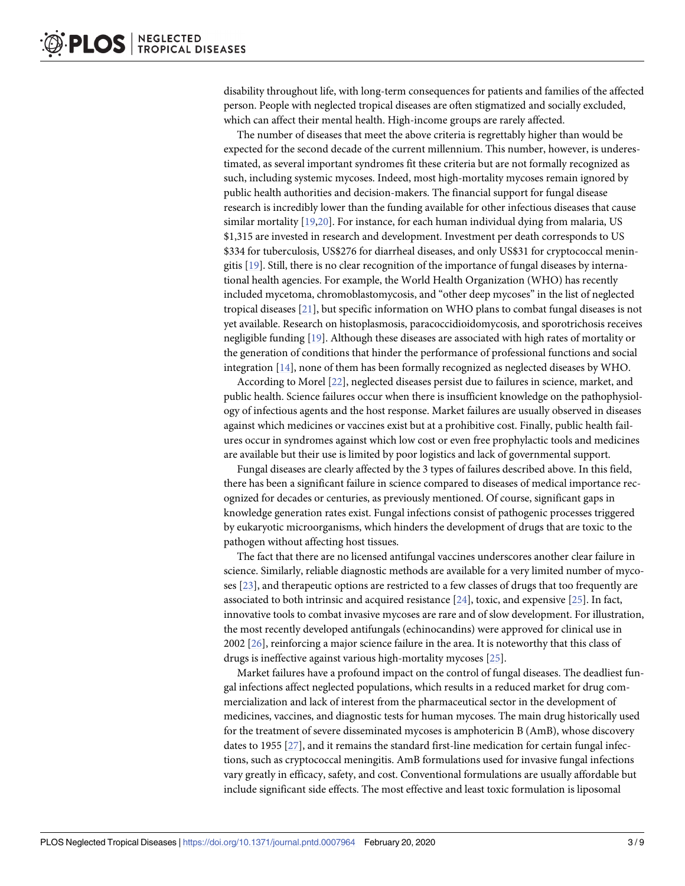<span id="page-2-0"></span>disability throughout life, with long-term consequences for patients and families of the affected person. People with neglected tropical diseases are often stigmatized and socially excluded, which can affect their mental health. High-income groups are rarely affected.

The number of diseases that meet the above criteria is regrettably higher than would be expected for the second decade of the current millennium. This number, however, is underestimated, as several important syndromes fit these criteria but are not formally recognized as such, including systemic mycoses. Indeed, most high-mortality mycoses remain ignored by public health authorities and decision-makers. The financial support for fungal disease research is incredibly lower than the funding available for other infectious diseases that cause similar mortality [\[19,20\]](#page-7-0). For instance, for each human individual dying from malaria, US \$1,315 are invested in research and development. Investment per death corresponds to US \$334 for tuberculosis, US\$276 for diarrheal diseases, and only US\$31 for cryptococcal meningitis [\[19\]](#page-7-0). Still, there is no clear recognition of the importance of fungal diseases by international health agencies. For example, the World Health Organization (WHO) has recently included mycetoma, chromoblastomycosis, and "other deep mycoses" in the list of neglected tropical diseases [\[21\]](#page-7-0), but specific information on WHO plans to combat fungal diseases is not yet available. Research on histoplasmosis, paracoccidioidomycosis, and sporotrichosis receives negligible funding [\[19\]](#page-7-0). Although these diseases are associated with high rates of mortality or the generation of conditions that hinder the performance of professional functions and social integration [[14](#page-7-0)], none of them has been formally recognized as neglected diseases by WHO.

According to Morel [[22](#page-7-0)], neglected diseases persist due to failures in science, market, and public health. Science failures occur when there is insufficient knowledge on the pathophysiology of infectious agents and the host response. Market failures are usually observed in diseases against which medicines or vaccines exist but at a prohibitive cost. Finally, public health failures occur in syndromes against which low cost or even free prophylactic tools and medicines are available but their use is limited by poor logistics and lack of governmental support.

Fungal diseases are clearly affected by the 3 types of failures described above. In this field, there has been a significant failure in science compared to diseases of medical importance recognized for decades or centuries, as previously mentioned. Of course, significant gaps in knowledge generation rates exist. Fungal infections consist of pathogenic processes triggered by eukaryotic microorganisms, which hinders the development of drugs that are toxic to the pathogen without affecting host tissues.

The fact that there are no licensed antifungal vaccines underscores another clear failure in science. Similarly, reliable diagnostic methods are available for a very limited number of mycoses [\[23\]](#page-7-0), and therapeutic options are restricted to a few classes of drugs that too frequently are associated to both intrinsic and acquired resistance [\[24\]](#page-7-0), toxic, and expensive [\[25\]](#page-7-0). In fact, innovative tools to combat invasive mycoses are rare and of slow development. For illustration, the most recently developed antifungals (echinocandins) were approved for clinical use in 2002 [[26](#page-7-0)], reinforcing a major science failure in the area. It is noteworthy that this class of drugs is ineffective against various high-mortality mycoses [[25](#page-7-0)].

Market failures have a profound impact on the control of fungal diseases. The deadliest fungal infections affect neglected populations, which results in a reduced market for drug commercialization and lack of interest from the pharmaceutical sector in the development of medicines, vaccines, and diagnostic tests for human mycoses. The main drug historically used for the treatment of severe disseminated mycoses is amphotericin B (AmB), whose discovery dates to 1955 [\[27\]](#page-7-0), and it remains the standard first-line medication for certain fungal infections, such as cryptococcal meningitis. AmB formulations used for invasive fungal infections vary greatly in efficacy, safety, and cost. Conventional formulations are usually affordable but include significant side effects. The most effective and least toxic formulation is liposomal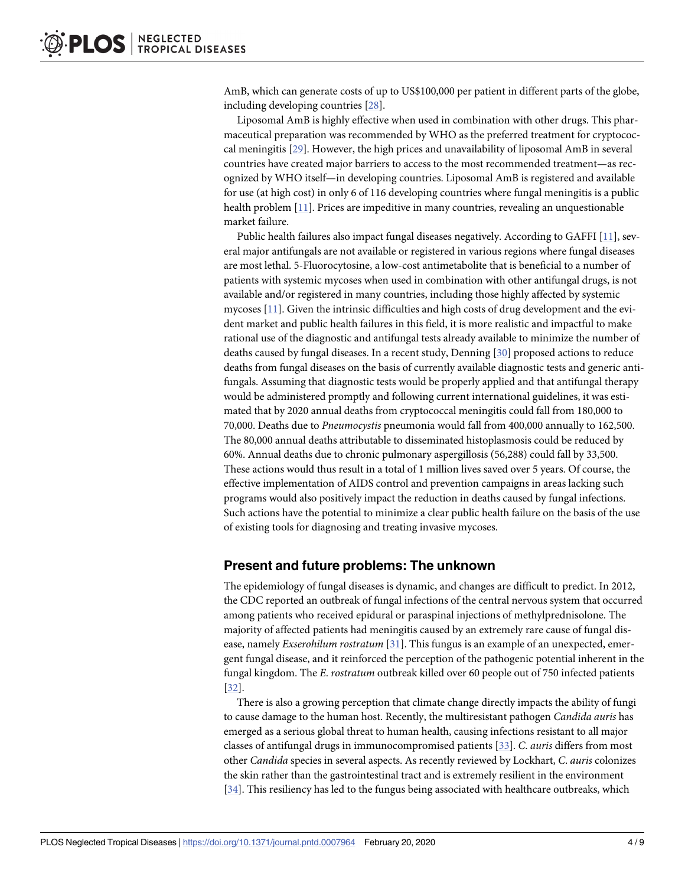<span id="page-3-0"></span>AmB, which can generate costs of up to US\$100,000 per patient in different parts of the globe, including developing countries [\[28\]](#page-7-0).

Liposomal AmB is highly effective when used in combination with other drugs. This pharmaceutical preparation was recommended by WHO as the preferred treatment for cryptococcal meningitis [[29](#page-7-0)]. However, the high prices and unavailability of liposomal AmB in several countries have created major barriers to access to the most recommended treatment—as recognized by WHO itself—in developing countries. Liposomal AmB is registered and available for use (at high cost) in only 6 of 116 developing countries where fungal meningitis is a public health problem [\[11\]](#page-7-0). Prices are impeditive in many countries, revealing an unquestionable market failure.

Public health failures also impact fungal diseases negatively. According to GAFFI [\[11\]](#page-7-0), several major antifungals are not available or registered in various regions where fungal diseases are most lethal. 5-Fluorocytosine, a low-cost antimetabolite that is beneficial to a number of patients with systemic mycoses when used in combination with other antifungal drugs, is not available and/or registered in many countries, including those highly affected by systemic mycoses [\[11\]](#page-7-0). Given the intrinsic difficulties and high costs of drug development and the evident market and public health failures in this field, it is more realistic and impactful to make rational use of the diagnostic and antifungal tests already available to minimize the number of deaths caused by fungal diseases. In a recent study, Denning [\[30\]](#page-8-0) proposed actions to reduce deaths from fungal diseases on the basis of currently available diagnostic tests and generic antifungals. Assuming that diagnostic tests would be properly applied and that antifungal therapy would be administered promptly and following current international guidelines, it was estimated that by 2020 annual deaths from cryptococcal meningitis could fall from 180,000 to 70,000. Deaths due to *Pneumocystis* pneumonia would fall from 400,000 annually to 162,500. The 80,000 annual deaths attributable to disseminated histoplasmosis could be reduced by 60%. Annual deaths due to chronic pulmonary aspergillosis (56,288) could fall by 33,500. These actions would thus result in a total of 1 million lives saved over 5 years. Of course, the effective implementation of AIDS control and prevention campaigns in areas lacking such programs would also positively impact the reduction in deaths caused by fungal infections. Such actions have the potential to minimize a clear public health failure on the basis of the use of existing tools for diagnosing and treating invasive mycoses.

#### **Present and future problems: The unknown**

The epidemiology of fungal diseases is dynamic, and changes are difficult to predict. In 2012, the CDC reported an outbreak of fungal infections of the central nervous system that occurred among patients who received epidural or paraspinal injections of methylprednisolone. The majority of affected patients had meningitis caused by an extremely rare cause of fungal disease, namely *Exserohilum rostratum* [[31](#page-8-0)]. This fungus is an example of an unexpected, emergent fungal disease, and it reinforced the perception of the pathogenic potential inherent in the fungal kingdom. The *E*. *rostratum* outbreak killed over 60 people out of 750 infected patients [\[32\]](#page-8-0).

There is also a growing perception that climate change directly impacts the ability of fungi to cause damage to the human host. Recently, the multiresistant pathogen *Candida auris* has emerged as a serious global threat to human health, causing infections resistant to all major classes of antifungal drugs in immunocompromised patients [[33](#page-8-0)]. *C*. *auris* differs from most other *Candida* species in several aspects. As recently reviewed by Lockhart, *C*. *auris* colonizes the skin rather than the gastrointestinal tract and is extremely resilient in the environment [\[34\]](#page-8-0). This resiliency has led to the fungus being associated with healthcare outbreaks, which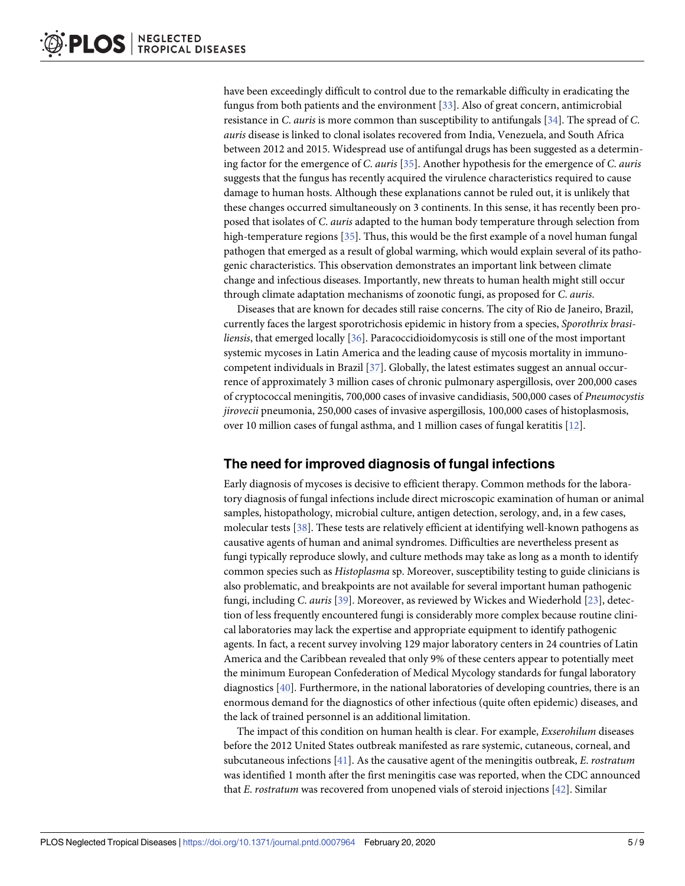<span id="page-4-0"></span>have been exceedingly difficult to control due to the remarkable difficulty in eradicating the fungus from both patients and the environment [\[33\]](#page-8-0). Also of great concern, antimicrobial resistance in *C*. *auris* is more common than susceptibility to antifungals [\[34\]](#page-8-0). The spread of *C*. *auris* disease is linked to clonal isolates recovered from India, Venezuela, and South Africa between 2012 and 2015. Widespread use of antifungal drugs has been suggested as a determining factor for the emergence of *C*. *auris* [[35](#page-8-0)]. Another hypothesis for the emergence of *C*. *auris* suggests that the fungus has recently acquired the virulence characteristics required to cause damage to human hosts. Although these explanations cannot be ruled out, it is unlikely that these changes occurred simultaneously on 3 continents. In this sense, it has recently been proposed that isolates of *C*. *auris* adapted to the human body temperature through selection from high-temperature regions [[35](#page-8-0)]. Thus, this would be the first example of a novel human fungal pathogen that emerged as a result of global warming, which would explain several of its pathogenic characteristics. This observation demonstrates an important link between climate change and infectious diseases. Importantly, new threats to human health might still occur through climate adaptation mechanisms of zoonotic fungi, as proposed for *C*. *auris*.

Diseases that are known for decades still raise concerns. The city of Rio de Janeiro, Brazil, currently faces the largest sporotrichosis epidemic in history from a species, *Sporothrix brasiliensis*, that emerged locally [[36](#page-8-0)]. Paracoccidioidomycosis is still one of the most important systemic mycoses in Latin America and the leading cause of mycosis mortality in immunocompetent individuals in Brazil [\[37\]](#page-8-0). Globally, the latest estimates suggest an annual occurrence of approximately 3 million cases of chronic pulmonary aspergillosis, over 200,000 cases of cryptococcal meningitis, 700,000 cases of invasive candidiasis, 500,000 cases of *Pneumocystis jirovecii* pneumonia, 250,000 cases of invasive aspergillosis, 100,000 cases of histoplasmosis, over 10 million cases of fungal asthma, and 1 million cases of fungal keratitis [\[12\]](#page-7-0).

# **The need for improved diagnosis of fungal infections**

Early diagnosis of mycoses is decisive to efficient therapy. Common methods for the laboratory diagnosis of fungal infections include direct microscopic examination of human or animal samples, histopathology, microbial culture, antigen detection, serology, and, in a few cases, molecular tests [\[38\]](#page-8-0). These tests are relatively efficient at identifying well-known pathogens as causative agents of human and animal syndromes. Difficulties are nevertheless present as fungi typically reproduce slowly, and culture methods may take as long as a month to identify common species such as *Histoplasma* sp. Moreover, susceptibility testing to guide clinicians is also problematic, and breakpoints are not available for several important human pathogenic fungi, including *C*. *auris* [\[39\]](#page-8-0). Moreover, as reviewed by Wickes and Wiederhold [[23](#page-7-0)], detection of less frequently encountered fungi is considerably more complex because routine clinical laboratories may lack the expertise and appropriate equipment to identify pathogenic agents. In fact, a recent survey involving 129 major laboratory centers in 24 countries of Latin America and the Caribbean revealed that only 9% of these centers appear to potentially meet the minimum European Confederation of Medical Mycology standards for fungal laboratory diagnostics [\[40\]](#page-8-0). Furthermore, in the national laboratories of developing countries, there is an enormous demand for the diagnostics of other infectious (quite often epidemic) diseases, and the lack of trained personnel is an additional limitation.

The impact of this condition on human health is clear. For example, *Exserohilum* diseases before the 2012 United States outbreak manifested as rare systemic, cutaneous, corneal, and subcutaneous infections [[41](#page-8-0)]. As the causative agent of the meningitis outbreak, *E*. *rostratum* was identified 1 month after the first meningitis case was reported, when the CDC announced that *E*. *rostratum* was recovered from unopened vials of steroid injections [[42](#page-8-0)]. Similar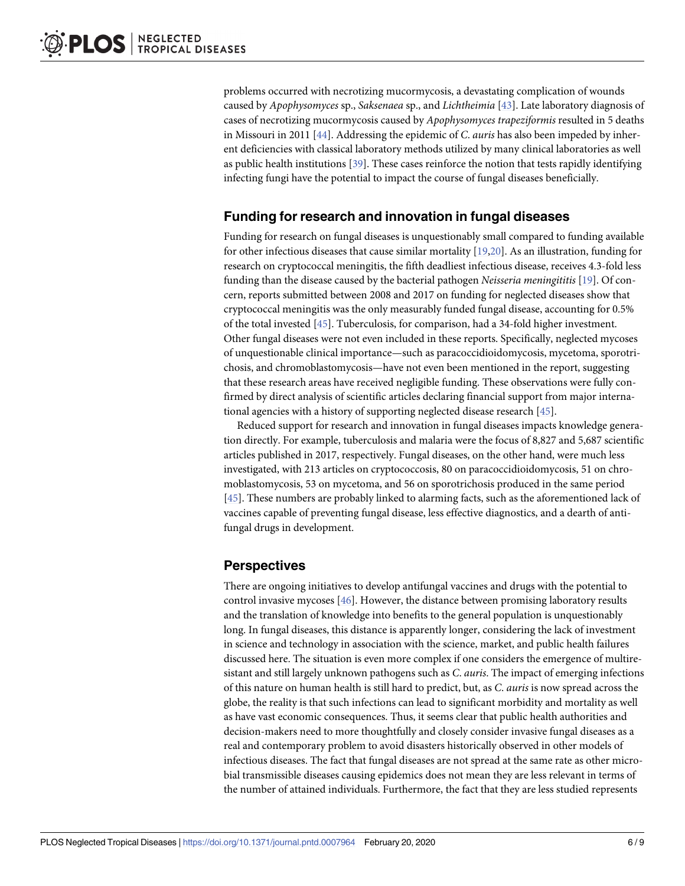<span id="page-5-0"></span>problems occurred with necrotizing mucormycosis, a devastating complication of wounds caused by *Apophysomyces* sp., *Saksenaea* sp., and *Lichtheimia* [\[43\]](#page-8-0). Late laboratory diagnosis of cases of necrotizing mucormycosis caused by *Apophysomyces trapeziformis* resulted in 5 deaths in Missouri in 2011 [\[44\]](#page-8-0). Addressing the epidemic of *C*. *auris* has also been impeded by inherent deficiencies with classical laboratory methods utilized by many clinical laboratories as well as public health institutions [\[39\]](#page-8-0). These cases reinforce the notion that tests rapidly identifying infecting fungi have the potential to impact the course of fungal diseases beneficially.

## **Funding for research and innovation in fungal diseases**

Funding for research on fungal diseases is unquestionably small compared to funding available for other infectious diseases that cause similar mortality [[19,20\]](#page-7-0). As an illustration, funding for research on cryptococcal meningitis, the fifth deadliest infectious disease, receives 4.3-fold less funding than the disease caused by the bacterial pathogen *Neisseria meningititis* [\[19\]](#page-7-0). Of concern, reports submitted between 2008 and 2017 on funding for neglected diseases show that cryptococcal meningitis was the only measurably funded fungal disease, accounting for 0.5% of the total invested [[45](#page-8-0)]. Tuberculosis, for comparison, had a 34-fold higher investment. Other fungal diseases were not even included in these reports. Specifically, neglected mycoses of unquestionable clinical importance—such as paracoccidioidomycosis, mycetoma, sporotrichosis, and chromoblastomycosis—have not even been mentioned in the report, suggesting that these research areas have received negligible funding. These observations were fully confirmed by direct analysis of scientific articles declaring financial support from major international agencies with a history of supporting neglected disease research [[45](#page-8-0)].

Reduced support for research and innovation in fungal diseases impacts knowledge generation directly. For example, tuberculosis and malaria were the focus of 8,827 and 5,687 scientific articles published in 2017, respectively. Fungal diseases, on the other hand, were much less investigated, with 213 articles on cryptococcosis, 80 on paracoccidioidomycosis, 51 on chromoblastomycosis, 53 on mycetoma, and 56 on sporotrichosis produced in the same period [\[45\]](#page-8-0). These numbers are probably linked to alarming facts, such as the aforementioned lack of vaccines capable of preventing fungal disease, less effective diagnostics, and a dearth of antifungal drugs in development.

# **Perspectives**

There are ongoing initiatives to develop antifungal vaccines and drugs with the potential to control invasive mycoses [[46](#page-8-0)]. However, the distance between promising laboratory results and the translation of knowledge into benefits to the general population is unquestionably long. In fungal diseases, this distance is apparently longer, considering the lack of investment in science and technology in association with the science, market, and public health failures discussed here. The situation is even more complex if one considers the emergence of multiresistant and still largely unknown pathogens such as *C*. *auris*. The impact of emerging infections of this nature on human health is still hard to predict, but, as *C*. *auris* is now spread across the globe, the reality is that such infections can lead to significant morbidity and mortality as well as have vast economic consequences. Thus, it seems clear that public health authorities and decision-makers need to more thoughtfully and closely consider invasive fungal diseases as a real and contemporary problem to avoid disasters historically observed in other models of infectious diseases. The fact that fungal diseases are not spread at the same rate as other microbial transmissible diseases causing epidemics does not mean they are less relevant in terms of the number of attained individuals. Furthermore, the fact that they are less studied represents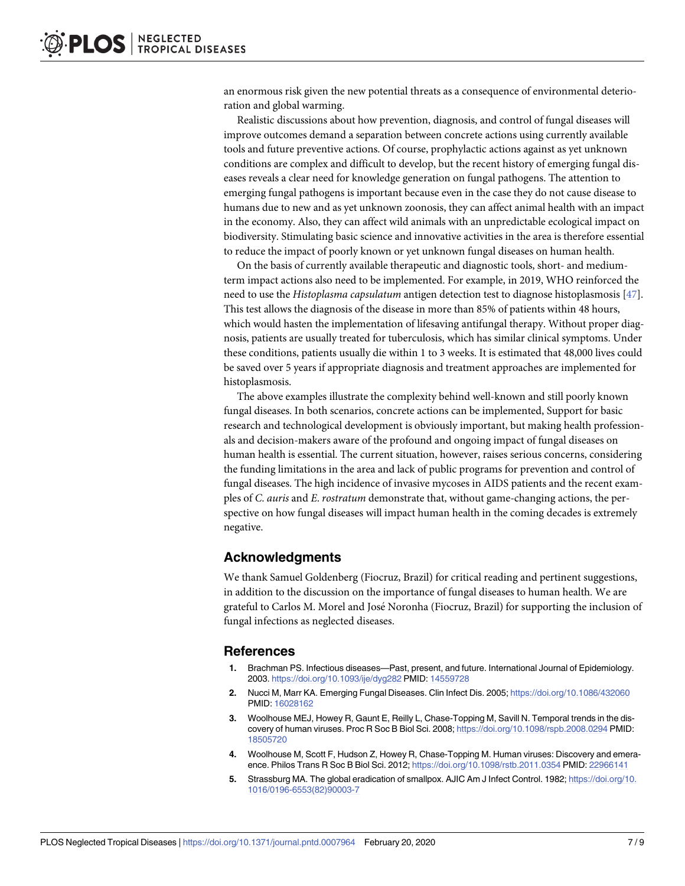<span id="page-6-0"></span>an enormous risk given the new potential threats as a consequence of environmental deterioration and global warming.

Realistic discussions about how prevention, diagnosis, and control of fungal diseases will improve outcomes demand a separation between concrete actions using currently available tools and future preventive actions. Of course, prophylactic actions against as yet unknown conditions are complex and difficult to develop, but the recent history of emerging fungal diseases reveals a clear need for knowledge generation on fungal pathogens. The attention to emerging fungal pathogens is important because even in the case they do not cause disease to humans due to new and as yet unknown zoonosis, they can affect animal health with an impact in the economy. Also, they can affect wild animals with an unpredictable ecological impact on biodiversity. Stimulating basic science and innovative activities in the area is therefore essential to reduce the impact of poorly known or yet unknown fungal diseases on human health.

On the basis of currently available therapeutic and diagnostic tools, short- and mediumterm impact actions also need to be implemented. For example, in 2019, WHO reinforced the need to use the *Histoplasma capsulatum* antigen detection test to diagnose histoplasmosis [\[47\]](#page-8-0). This test allows the diagnosis of the disease in more than 85% of patients within 48 hours, which would hasten the implementation of lifesaving antifungal therapy. Without proper diagnosis, patients are usually treated for tuberculosis, which has similar clinical symptoms. Under these conditions, patients usually die within 1 to 3 weeks. It is estimated that 48,000 lives could be saved over 5 years if appropriate diagnosis and treatment approaches are implemented for histoplasmosis.

The above examples illustrate the complexity behind well-known and still poorly known fungal diseases. In both scenarios, concrete actions can be implemented, Support for basic research and technological development is obviously important, but making health professionals and decision-makers aware of the profound and ongoing impact of fungal diseases on human health is essential. The current situation, however, raises serious concerns, considering the funding limitations in the area and lack of public programs for prevention and control of fungal diseases. The high incidence of invasive mycoses in AIDS patients and the recent examples of *C*. *auris* and *E*. *rostratum* demonstrate that, without game-changing actions, the perspective on how fungal diseases will impact human health in the coming decades is extremely negative.

#### **Acknowledgments**

We thank Samuel Goldenberg (Fiocruz, Brazil) for critical reading and pertinent suggestions, in addition to the discussion on the importance of fungal diseases to human health. We are grateful to Carlos M. Morel and Jose´ Noronha (Fiocruz, Brazil) for supporting the inclusion of fungal infections as neglected diseases.

#### **References**

- **[1](#page-0-0).** Brachman PS. Infectious diseases—Past, present, and future. International Journal of Epidemiology. 2003. <https://doi.org/10.1093/ije/dyg282> PMID: [14559728](http://www.ncbi.nlm.nih.gov/pubmed/14559728)
- **[2](#page-0-0).** Nucci M, Marr KA. Emerging Fungal Diseases. Clin Infect Dis. 2005; <https://doi.org/10.1086/432060> PMID: [16028162](http://www.ncbi.nlm.nih.gov/pubmed/16028162)
- **[3](#page-0-0).** Woolhouse MEJ, Howey R, Gaunt E, Reilly L, Chase-Topping M, Savill N. Temporal trends in the discovery of human viruses. Proc R Soc B Biol Sci. 2008; <https://doi.org/10.1098/rspb.2008.0294> PMID: [18505720](http://www.ncbi.nlm.nih.gov/pubmed/18505720)
- **[4](#page-0-0).** Woolhouse M, Scott F, Hudson Z, Howey R, Chase-Topping M. Human viruses: Discovery and emeraence. Philos Trans R Soc B Biol Sci. 2012; <https://doi.org/10.1098/rstb.2011.0354> PMID: [22966141](http://www.ncbi.nlm.nih.gov/pubmed/22966141)
- **[5](#page-0-0).** Strassburg MA. The global eradication of smallpox. AJIC Am J Infect Control. 1982; [https://doi.org/10.](https://doi.org/10.1016/0196-6553(82)90003-7) [1016/0196-6553\(82\)90003-7](https://doi.org/10.1016/0196-6553(82)90003-7)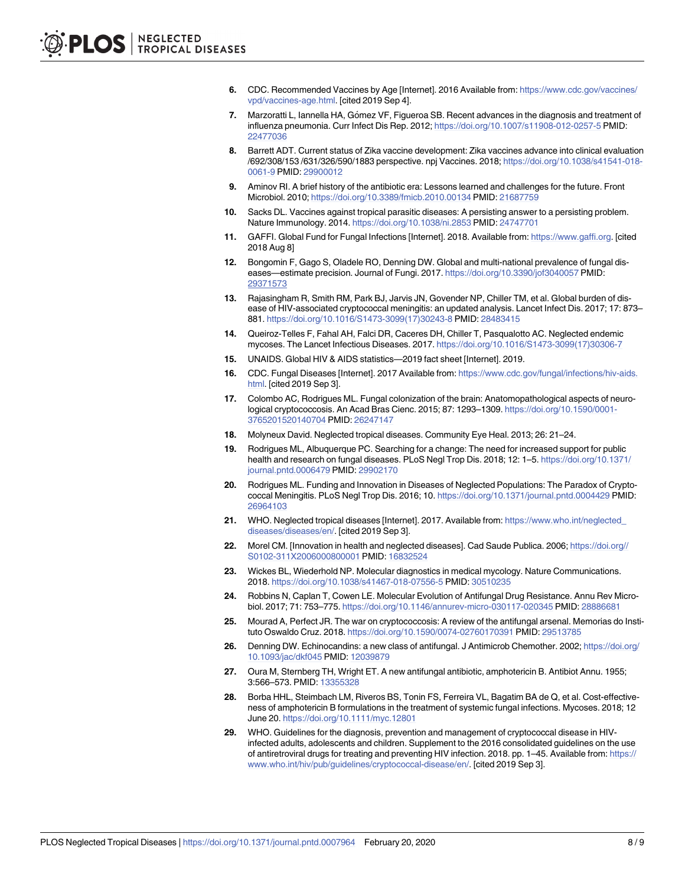- <span id="page-7-0"></span>**[6](#page-0-0).** CDC. Recommended Vaccines by Age [Internet]. 2016 Available from: [https://www.cdc.gov/vaccines/](https://www.cdc.gov/vaccines/vpd/vaccines-age.html) [vpd/vaccines-age.html.](https://www.cdc.gov/vaccines/vpd/vaccines-age.html) [cited 2019 Sep 4].
- **[7](#page-0-0).** Marzoratti L, Iannella HA, Gómez VF, Figueroa SB. Recent advances in the diagnosis and treatment of influenza pneumonia. Curr Infect Dis Rep. 2012; <https://doi.org/10.1007/s11908-012-0257-5> PMID: [22477036](http://www.ncbi.nlm.nih.gov/pubmed/22477036)
- **[8](#page-0-0).** Barrett ADT. Current status of Zika vaccine development: Zika vaccines advance into clinical evaluation /692/308/153 /631/326/590/1883 perspective. npj Vaccines. 2018; [https://doi.org/10.1038/s41541-018-](https://doi.org/10.1038/s41541-018-0061-9) [0061-9](https://doi.org/10.1038/s41541-018-0061-9) PMID: [29900012](http://www.ncbi.nlm.nih.gov/pubmed/29900012)
- **[9](#page-0-0).** Aminov RI. A brief history of the antibiotic era: Lessons learned and challenges for the future. Front Microbiol. 2010; <https://doi.org/10.3389/fmicb.2010.00134> PMID: [21687759](http://www.ncbi.nlm.nih.gov/pubmed/21687759)
- **[10](#page-0-0).** Sacks DL. Vaccines against tropical parasitic diseases: A persisting answer to a persisting problem. Nature Immunology. 2014. <https://doi.org/10.1038/ni.2853> PMID: [24747701](http://www.ncbi.nlm.nih.gov/pubmed/24747701)
- **[11](#page-0-0).** GAFFI. Global Fund for Fungal Infections [Internet]. 2018. Available from: <https://www.gaffi.org>. [cited 2018 Aug 8]
- **[12](#page-1-0).** Bongomin F, Gago S, Oladele RO, Denning DW. Global and multi-national prevalence of fungal diseases—estimate precision. Journal of Fungi. 2017. <https://doi.org/10.3390/jof3040057> PMID: [29371573](http://www.ncbi.nlm.nih.gov/pubmed/29371573)
- **[13](#page-1-0).** Rajasingham R, Smith RM, Park BJ, Jarvis JN, Govender NP, Chiller TM, et al. Global burden of disease of HIV-associated cryptococcal meningitis: an updated analysis. Lancet Infect Dis. 2017; 17: 873– 881. [https://doi.org/10.1016/S1473-3099\(17\)30243-8](https://doi.org/10.1016/S1473-3099(17)30243-8) PMID: [28483415](http://www.ncbi.nlm.nih.gov/pubmed/28483415)
- **[14](#page-1-0).** Queiroz-Telles F, Fahal AH, Falci DR, Caceres DH, Chiller T, Pasqualotto AC. Neglected endemic mycoses. The Lancet Infectious Diseases. 2017. [https://doi.org/10.1016/S1473-3099\(17\)30306-7](https://doi.org/10.1016/S1473-3099(17)30306-7)
- **[15](#page-1-0).** UNAIDS. Global HIV & AIDS statistics—2019 fact sheet [Internet]. 2019.
- **[16](#page-1-0).** CDC. Fungal Diseases [Internet]. 2017 Available from: [https://www.cdc.gov/fungal/infections/hiv-aids.](https://www.cdc.gov/fungal/infections/hiv-aids.html) [html](https://www.cdc.gov/fungal/infections/hiv-aids.html). [cited 2019 Sep 3].
- **[17](#page-1-0).** Colombo AC, Rodrigues ML. Fungal colonization of the brain: Anatomopathological aspects of neurological cryptococcosis. An Acad Bras Cienc. 2015; 87: 1293–1309. [https://doi.org/10.1590/0001-](https://doi.org/10.1590/0001-3765201520140704) [3765201520140704](https://doi.org/10.1590/0001-3765201520140704) PMID: [26247147](http://www.ncbi.nlm.nih.gov/pubmed/26247147)
- **[18](#page-1-0).** Molyneux David. Neglected tropical diseases. Community Eye Heal. 2013; 26: 21–24.
- **[19](#page-2-0).** Rodrigues ML, Albuquerque PC. Searching for a change: The need for increased support for public health and research on fungal diseases. PLoS Negl Trop Dis. 2018; 12: 1–5. [https://doi.org/10.1371/](https://doi.org/10.1371/journal.pntd.0006479) [journal.pntd.0006479](https://doi.org/10.1371/journal.pntd.0006479) PMID: [29902170](http://www.ncbi.nlm.nih.gov/pubmed/29902170)
- **[20](#page-2-0).** Rodrigues ML. Funding and Innovation in Diseases of Neglected Populations: The Paradox of Cryptococcal Meningitis. PLoS Negl Trop Dis. 2016; 10. <https://doi.org/10.1371/journal.pntd.0004429> PMID: [26964103](http://www.ncbi.nlm.nih.gov/pubmed/26964103)
- **[21](#page-2-0).** WHO. Neglected tropical diseases [Internet]. 2017. Available from: [https://www.who.int/neglected\\_](https://www.who.int/neglected_diseases/diseases/en/) [diseases/diseases/en/.](https://www.who.int/neglected_diseases/diseases/en/) [cited 2019 Sep 3].
- **[22](#page-2-0).** Morel CM. [Innovation in health and neglected diseases]. Cad Saude Publica. 2006; [https://doi.org//](https://doi.org/S0102-311X2006000800001) [S0102-311X2006000800001](https://doi.org/S0102-311X2006000800001) PMID: [16832524](http://www.ncbi.nlm.nih.gov/pubmed/16832524)
- **[23](#page-2-0).** Wickes BL, Wiederhold NP. Molecular diagnostics in medical mycology. Nature Communications. 2018. <https://doi.org/10.1038/s41467-018-07556-5> PMID: [30510235](http://www.ncbi.nlm.nih.gov/pubmed/30510235)
- **[24](#page-2-0).** Robbins N, Caplan T, Cowen LE. Molecular Evolution of Antifungal Drug Resistance. Annu Rev Microbiol. 2017; 71: 753–775. <https://doi.org/10.1146/annurev-micro-030117-020345> PMID: [28886681](http://www.ncbi.nlm.nih.gov/pubmed/28886681)
- **[25](#page-2-0).** Mourad A, Perfect JR. The war on cryptococcosis: A review of the antifungal arsenal. Memorias do Instituto Oswaldo Cruz. 2018. <https://doi.org/10.1590/0074-02760170391> PMID: [29513785](http://www.ncbi.nlm.nih.gov/pubmed/29513785)
- **[26](#page-2-0).** Denning DW. Echinocandins: a new class of antifungal. J Antimicrob Chemother. 2002; [https://doi.org/](https://doi.org/10.1093/jac/dkf045) [10.1093/jac/dkf045](https://doi.org/10.1093/jac/dkf045) PMID: [12039879](http://www.ncbi.nlm.nih.gov/pubmed/12039879)
- **[27](#page-2-0).** Oura M, Sternberg TH, Wright ET. A new antifungal antibiotic, amphotericin B. Antibiot Annu. 1955; 3:566–573. PMID: [13355328](http://www.ncbi.nlm.nih.gov/pubmed/13355328)
- **[28](#page-3-0).** Borba HHL, Steimbach LM, Riveros BS, Tonin FS, Ferreira VL, Bagatim BA de Q, et al. Cost-effectiveness of amphotericin B formulations in the treatment of systemic fungal infections. Mycoses. 2018; 12 June 20. <https://doi.org/10.1111/myc.12801>
- **[29](#page-3-0).** WHO. Guidelines for the diagnosis, prevention and management of cryptococcal disease in HIVinfected adults, adolescents and children. Supplement to the 2016 consolidated guidelines on the use of antiretroviral drugs for treating and preventing HIV infection. 2018. pp. 1–45. Available from: [https://](https://www.who.int/hiv/pub/guidelines/cryptococcal-disease/en/) [www.who.int/hiv/pub/guidelines/cryptococcal-disease/en/](https://www.who.int/hiv/pub/guidelines/cryptococcal-disease/en/). [cited 2019 Sep 3].